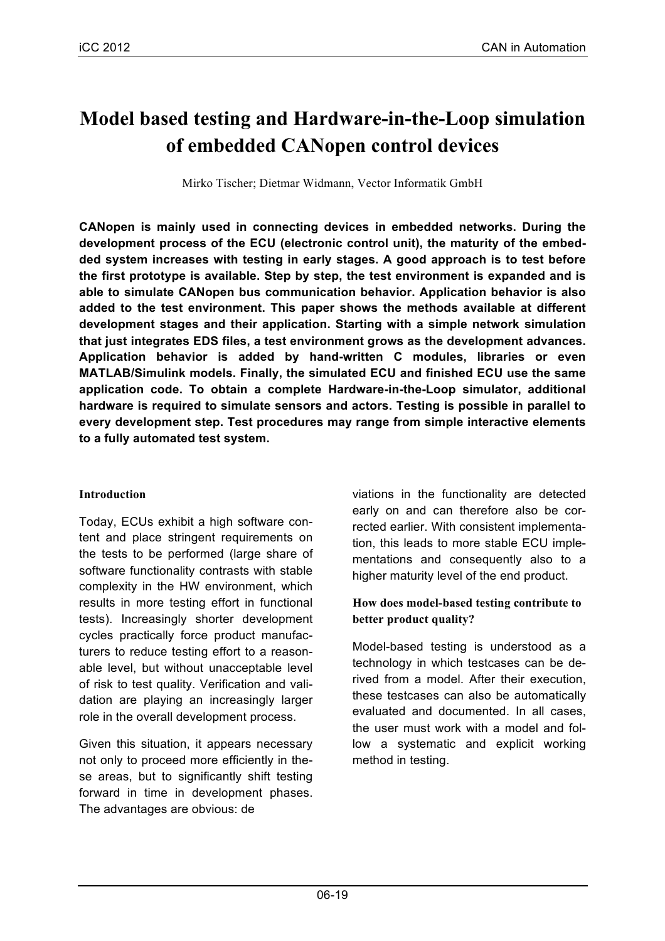# **Model based testing and Hardware-in-the-Loop simulation of embedded CANopen control devices**

Mirko Tischer; Dietmar Widmann, Vector Informatik GmbH

**CANopen is mainly used in connecting devices in embedded networks. During the development process of the ECU (electronic control unit), the maturity of the embedded system increases with testing in early stages. A good approach is to test before the first prototype is available. Step by step, the test environment is expanded and is able to simulate CANopen bus communication behavior. Application behavior is also added to the test environment. This paper shows the methods available at different development stages and their application. Starting with a simple network simulation that just integrates EDS files, a test environment grows as the development advances. Application behavior is added by hand-written C modules, libraries or even MATLAB/Simulink models. Finally, the simulated ECU and finished ECU use the same application code. To obtain a complete Hardware-in-the-Loop simulator, additional hardware is required to simulate sensors and actors. Testing is possible in parallel to every development step. Test procedures may range from simple interactive elements to a fully automated test system.**

# **Introduction**

Today, ECUs exhibit a high software content and place stringent requirements on the tests to be performed (large share of software functionality contrasts with stable complexity in the HW environment, which results in more testing effort in functional tests). Increasingly shorter development cycles practically force product manufacturers to reduce testing effort to a reasonable level, but without unacceptable level of risk to test quality. Verification and validation are playing an increasingly larger role in the overall development process.

Given this situation, it appears necessary not only to proceed more efficiently in these areas, but to significantly shift testing forward in time in development phases. The advantages are obvious: de

viations in the functionality are detected early on and can therefore also be corrected earlier. With consistent implementation, this leads to more stable ECU implementations and consequently also to a higher maturity level of the end product.

# **How does model-based testing contribute to better product quality?**

Model-based testing is understood as a technology in which testcases can be derived from a model. After their execution, these testcases can also be automatically evaluated and documented. In all cases, the user must work with a model and follow a systematic and explicit working method in testing.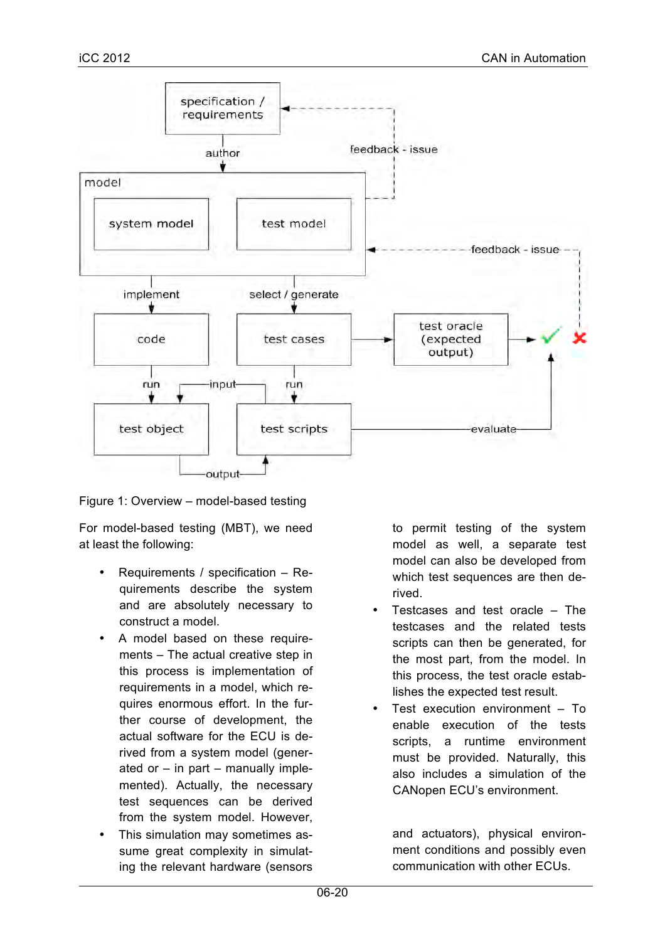

Figure 1: Overview – model-based testing

For model-based testing (MBT), we need at least the following:

- Requirements / specification Requirements describe the system and are absolutely necessary to construct a model.
- A model based on these requirements – The actual creative step in this process is implementation of requirements in a model, which requires enormous effort. In the further course of development, the actual software for the ECU is derived from a system model (generated or  $-$  in part  $-$  manually implemented). Actually, the necessary test sequences can be derived from the system model. However,
- This simulation may sometimes assume great complexity in simulating the relevant hardware (sensors

to permit testing of the system model as well, a separate test model can also be developed from which test sequences are then derived.

- Testcases and test oracle  $-$  The testcases and the related tests scripts can then be generated, for the most part, from the model. In this process, the test oracle establishes the expected test result.
- Test execution environment To enable execution of the tests scripts, a runtime environment must be provided. Naturally, this also includes a simulation of the CANopen ECU's environment.

and actuators), physical environment conditions and possibly even communication with other ECUs.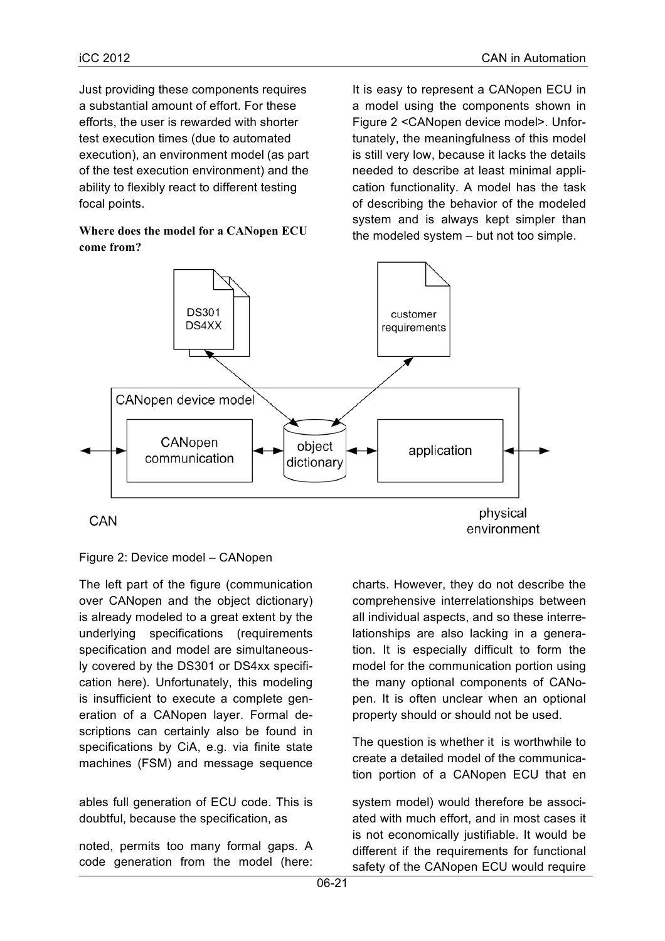Just providing these components requires a substantial amount of effort. For these efforts, the user is rewarded with shorter test execution times (due to automated execution), an environment model (as part of the test execution environment) and the ability to flexibly react to different testing focal points.

**Where does the model for a CANopen ECU come from?**

It is easy to represent a CANopen ECU in a model using the components shown in Figure 2 <CANopen device model>. Unfortunately, the meaningfulness of this model is still very low, because it lacks the details needed to describe at least minimal application functionality. A model has the task of describing the behavior of the modeled system and is always kept simpler than the modeled system – but not too simple.



# Figure 2: Device model – CANopen

The left part of the figure (communication over CANopen and the object dictionary) is already modeled to a great extent by the underlying specifications (requirements specification and model are simultaneously covered by the DS301 or DS4xx specification here). Unfortunately, this modeling is insufficient to execute a complete generation of a CANopen layer. Formal descriptions can certainly also be found in specifications by CiA, e.g. via finite state machines (FSM) and message sequence

ables full generation of ECU code. This is doubtful, because the specification, as

noted, permits too many formal gaps. A code generation from the model (here: charts. However, they do not describe the comprehensive interrelationships between all individual aspects, and so these interrelationships are also lacking in a generation. It is especially difficult to form the model for the communication portion using the many optional components of CANopen. It is often unclear when an optional property should or should not be used.

The question is whether it is worthwhile to create a detailed model of the communication portion of a CANopen ECU that en

system model) would therefore be associated with much effort, and in most cases it is not economically justifiable. It would be different if the requirements for functional safety of the CANopen ECU would require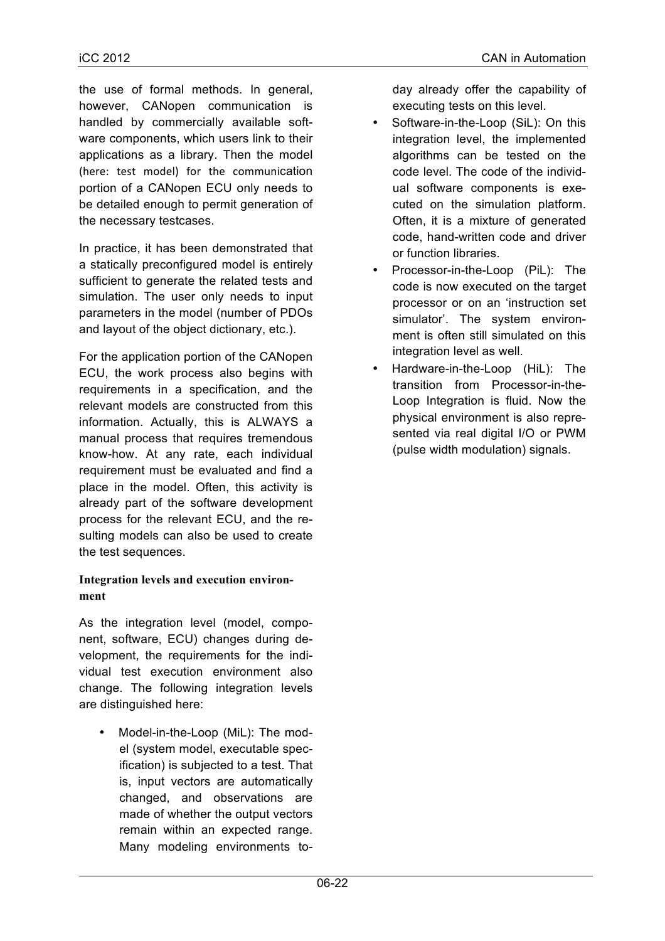the use of formal methods. In general, however, CANopen communication is handled by commercially available software components, which users link to their applications as a library. Then the model (here: test model) for the communication portion of a CANopen ECU only needs to be detailed enough to permit generation of

In practice, it has been demonstrated that a statically preconfigured model is entirely sufficient to generate the related tests and simulation. The user only needs to input parameters in the model (number of PDOs and layout of the object dictionary, etc.).

the necessary testcases.

For the application portion of the CANopen ECU, the work process also begins with requirements in a specification, and the relevant models are constructed from this information. Actually, this is ALWAYS a manual process that requires tremendous know-how. At any rate, each individual requirement must be evaluated and find a place in the model. Often, this activity is already part of the software development process for the relevant ECU, and the resulting models can also be used to create the test sequences.

# **Integration levels and execution environment**

As the integration level (model, component, software, ECU) changes during development, the requirements for the individual test execution environment also change. The following integration levels are distinguished here:

• Model-in-the-Loop (MiL): The model (system model, executable specification) is subjected to a test. That is, input vectors are automatically changed, and observations are made of whether the output vectors remain within an expected range. Many modeling environments today already offer the capability of executing tests on this level.

- Software-in-the-Loop (SiL): On this integration level, the implemented algorithms can be tested on the code level. The code of the individual software components is executed on the simulation platform. Often, it is a mixture of generated code, hand-written code and driver or function libraries.
- Processor-in-the-Loop (PiL): The code is now executed on the target processor or on an 'instruction set simulator'. The system environment is often still simulated on this integration level as well.
- Hardware-in-the-Loop (HiL): The transition from Processor-in-the-Loop Integration is fluid. Now the physical environment is also represented via real digital I/O or PWM (pulse width modulation) signals.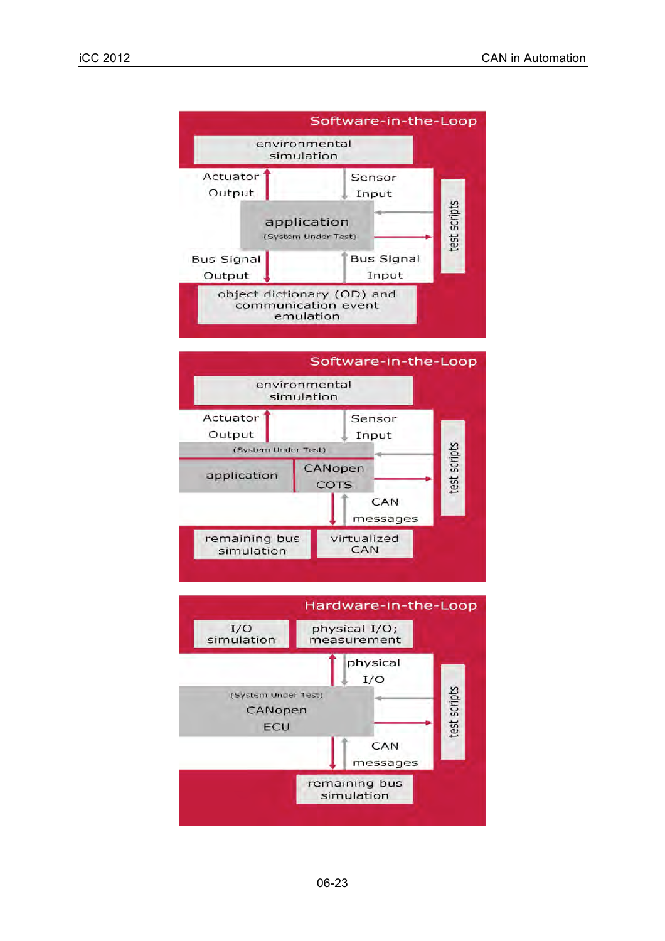



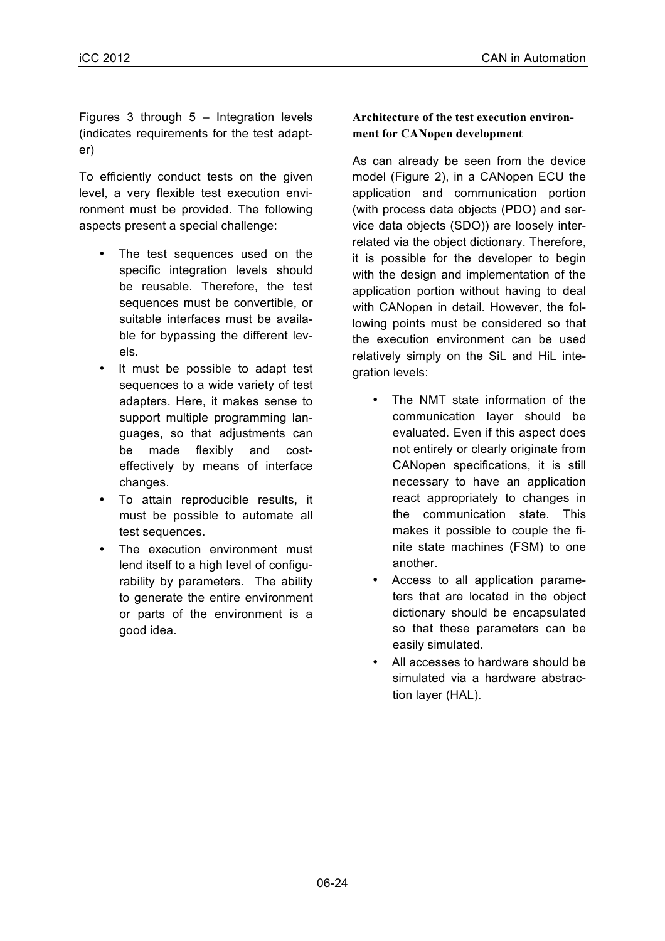Figures 3 through 5 – Integration levels (indicates requirements for the test adapter)

To efficiently conduct tests on the given level, a very flexible test execution environment must be provided. The following aspects present a special challenge:

- The test sequences used on the specific integration levels should be reusable. Therefore, the test sequences must be convertible, or suitable interfaces must be available for bypassing the different levels.
- It must be possible to adapt test sequences to a wide variety of test adapters. Here, it makes sense to support multiple programming languages, so that adjustments can be made flexibly and costeffectively by means of interface changes.
- To attain reproducible results, it must be possible to automate all test sequences.
- The execution environment must lend itself to a high level of configurability by parameters. The ability to generate the entire environment or parts of the environment is a good idea.

# **Architecture of the test execution environment for CANopen development**

As can already be seen from the device model (Figure 2), in a CANopen ECU the application and communication portion (with process data objects (PDO) and service data objects (SDO)) are loosely interrelated via the object dictionary. Therefore, it is possible for the developer to begin with the design and implementation of the application portion without having to deal with CANopen in detail. However, the following points must be considered so that the execution environment can be used relatively simply on the SiL and HiL integration levels:

- The NMT state information of the communication layer should be evaluated. Even if this aspect does not entirely or clearly originate from CANopen specifications, it is still necessary to have an application react appropriately to changes in the communication state. This makes it possible to couple the finite state machines (FSM) to one another.
- Access to all application parameters that are located in the object dictionary should be encapsulated so that these parameters can be easily simulated.
- All accesses to hardware should be simulated via a hardware abstraction layer (HAL).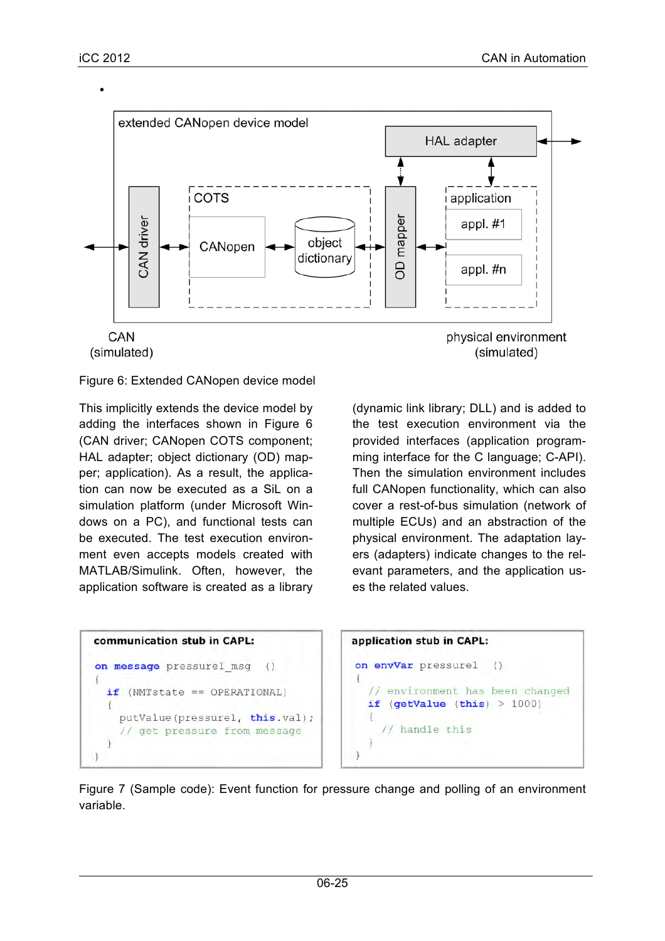•



#### Figure 6: Extended CANopen device model

This implicitly extends the device model by adding the interfaces shown in Figure 6 (CAN driver; CANopen COTS component; HAL adapter; object dictionary (OD) mapper; application). As a result, the application can now be executed as a SiL on a simulation platform (under Microsoft Windows on a PC), and functional tests can be executed. The test execution environment even accepts models created with MATLAB/Simulink. Often, however, the application software is created as a library

(dynamic link library; DLL) and is added to the test execution environment via the provided interfaces (application programming interface for the C language; C-API). Then the simulation environment includes full CANopen functionality, which can also cover a rest-of-bus simulation (network of multiple ECUs) and an abstraction of the physical environment. The adaptation layers (adapters) indicate changes to the relevant parameters, and the application uses the related values.

```
communication stub in CAPL:
on message pressurel msg
                                   \left(\right)Æ
  if (NMTstate == OPERATIONAL)
  \overline{\mathcal{L}}putValue(pressurel, this.val);
     // get pressure from message
\mathcal{E}
```


Figure 7 (Sample code): Event function for pressure change and polling of an environment variable.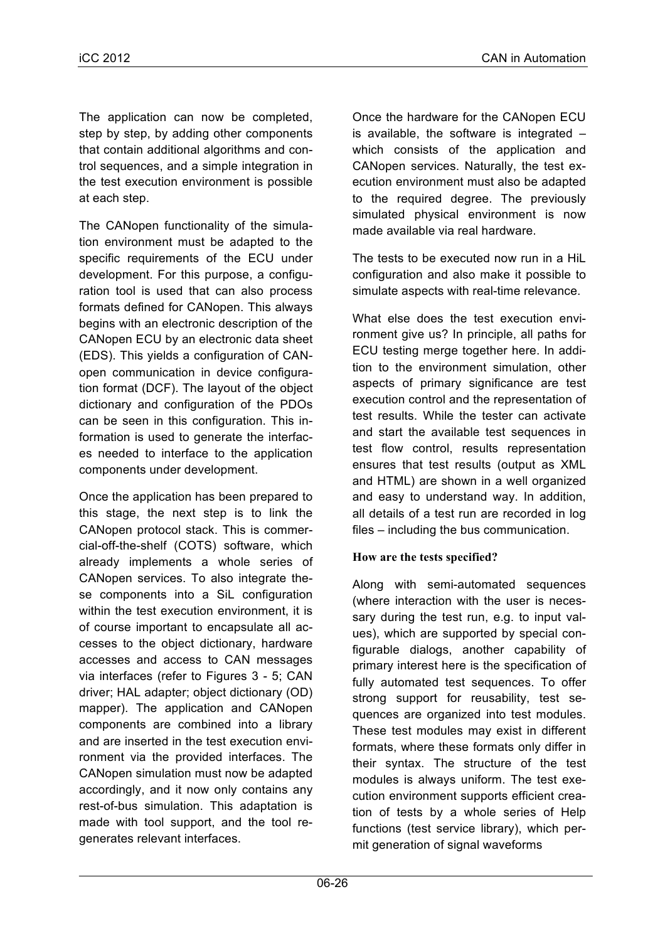The application can now be completed, step by step, by adding other components that contain additional algorithms and control sequences, and a simple integration in the test execution environment is possible at each step.

The CANopen functionality of the simulation environment must be adapted to the specific requirements of the ECU under development. For this purpose, a configuration tool is used that can also process formats defined for CANopen. This always begins with an electronic description of the CANopen ECU by an electronic data sheet (EDS). This yields a configuration of CANopen communication in device configuration format (DCF). The layout of the object dictionary and configuration of the PDOs can be seen in this configuration. This information is used to generate the interfaces needed to interface to the application components under development.

Once the application has been prepared to this stage, the next step is to link the CANopen protocol stack. This is commercial-off-the-shelf (COTS) software, which already implements a whole series of CANopen services. To also integrate these components into a SiL configuration within the test execution environment, it is of course important to encapsulate all accesses to the object dictionary, hardware accesses and access to CAN messages via interfaces (refer to Figures 3 - 5; CAN driver; HAL adapter; object dictionary (OD) mapper). The application and CANopen components are combined into a library and are inserted in the test execution environment via the provided interfaces. The CANopen simulation must now be adapted accordingly, and it now only contains any rest-of-bus simulation. This adaptation is made with tool support, and the tool regenerates relevant interfaces.

Once the hardware for the CANopen ECU is available, the software is integrated – which consists of the application and CANopen services. Naturally, the test execution environment must also be adapted to the required degree. The previously simulated physical environment is now made available via real hardware.

The tests to be executed now run in a HiL configuration and also make it possible to simulate aspects with real-time relevance.

What else does the test execution environment give us? In principle, all paths for ECU testing merge together here. In addition to the environment simulation, other aspects of primary significance are test execution control and the representation of test results. While the tester can activate and start the available test sequences in test flow control, results representation ensures that test results (output as XML and HTML) are shown in a well organized and easy to understand way. In addition, all details of a test run are recorded in log files – including the bus communication.

# **How are the tests specified?**

Along with semi-automated sequences (where interaction with the user is necessary during the test run, e.g. to input values), which are supported by special configurable dialogs, another capability of primary interest here is the specification of fully automated test sequences. To offer strong support for reusability, test sequences are organized into test modules. These test modules may exist in different formats, where these formats only differ in their syntax. The structure of the test modules is always uniform. The test execution environment supports efficient creation of tests by a whole series of Help functions (test service library), which permit generation of signal waveforms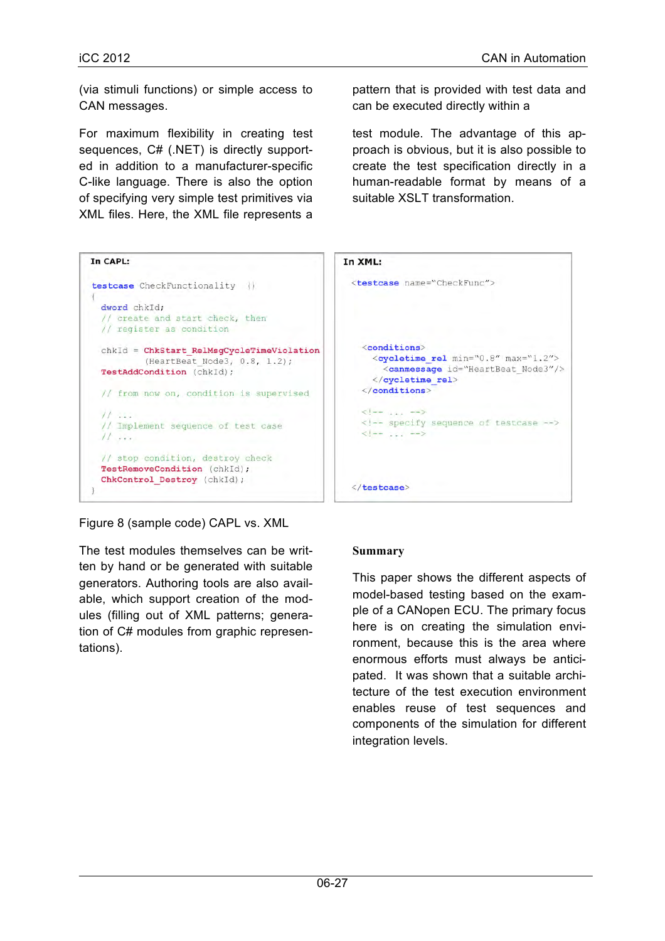(via stimuli functions) or simple access to CAN messages.

For maximum flexibility in creating test sequences, C# (.NET) is directly supported in addition to a manufacturer-specific C-like language. There is also the option of specifying very simple test primitives via XML files. Here, the XML file represents a

pattern that is provided with test data and can be executed directly within a

test module. The advantage of this approach is obvious, but it is also possible to create the test specification directly in a human-readable format by means of a suitable XSLT transformation.

| In CAPL:                                                                                                         | In XML:                                                                                                                                |
|------------------------------------------------------------------------------------------------------------------|----------------------------------------------------------------------------------------------------------------------------------------|
| testcase CheckFunctionality ()<br>dword chkId;<br>// create and start check, then<br>// register as condition    | <testcase na<="" td=""></testcase>                                                                                                     |
| chkId = ChkStart RelMsgCycleTimeViolation<br>(HeartBeat Node3, 0.8, 1.2);<br>TestAddCondition (chkId);           | <condition<br><cyclet:<br><math>&lt;</math>canme<br/><math>\langle</math>/cyclet<br/></cyclet:<br></condition<br>                      |
| // from now on, condition is supervised<br>$\prime\prime$<br>// Implement sequence of test case<br>$\frac{1}{2}$ | $\leq$ $ \rightarrow$ $\rightarrow$ $\rightarrow$ $\rightarrow$<br>$\left  - \right $ spec<br>$\left\{ \frac{1}{2} - 1, 1, 1 \right\}$ |
| // stop condition, destroy check<br>TestRemoveCondition (chkId);<br>ChkControl Destroy (chkId);                  | $\frac{2}{x}$ testcase>                                                                                                                |

ame="CheckFunc">  $ne$ ime rel min="0.8" max="1.2"> essage id="HeartBeat Node3"/> time rel>  $ons$ ify sequence of testcase  $-5$ 

Figure 8 (sample code) CAPL vs. XML

The test modules themselves can be written by hand or be generated with suitable generators. Authoring tools are also available, which support creation of the modules (filling out of XML patterns; generation of C# modules from graphic representations).

# **Summary**

This paper shows the different aspects of model-based testing based on the example of a CANopen ECU. The primary focus here is on creating the simulation environment, because this is the area where enormous efforts must always be anticipated. It was shown that a suitable architecture of the test execution environment enables reuse of test sequences and components of the simulation for different integration levels.